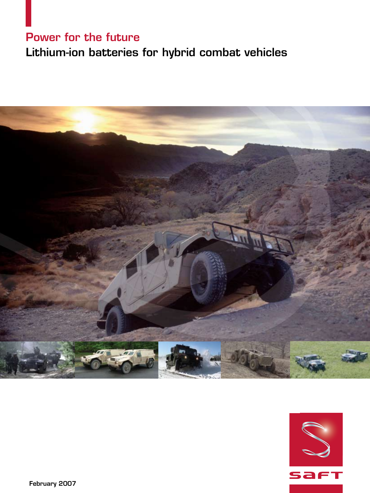## Power for the future

## Lithium-ion batteries for hybrid combat vehicles



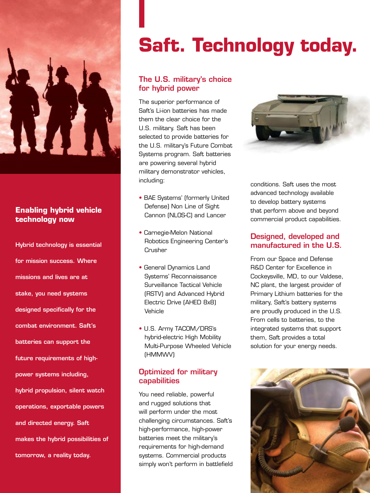

### **Enabling hybrid vehicle technology now**

Hybrid technology is essential for mission success. Where missions and lives are at stake, you need systems designed specifically for the combat environment. Saft's batteries can support the future requirements of highpower systems including, hybrid propulsion, silent watch operations, exportable powers and directed energy. Saft makes the hybrid possibilities of tomorrow, a reality today.

# **Saft. Technology today.**

### The U.S. military's choice for hybrid power

The superior performance of Saft's Li-ion batteries has made them the clear choice for the U.S. military. Saft has been selected to provide batteries for the U.S. military's Future Combat Systems program. Saft batteries are powering several hybrid military demonstrator vehicles, including:

- BAE Systems' (formerly United Defense) Non Line of Sight Cannon (NLOS-C) and Lancer
- Carnegie-Melon National Robotics Engineering Center's **Crusher**
- General Dynamics Land Systems' Reconnaissance Surveillance Tactical Vehicle (RSTV) and Advanced Hybrid Electric Drive (AHED 8x8) Vehicle
- U.S. Army TACOM/DRS's hybrid-electric High Mobility Multi-Purpose Wheeled Vehicle (HMMWV)

### Optimized for military capabilities

You need reliable, powerful and rugged solutions that will perform under the most challenging circumstances. Saft's high-performance, high-power batteries meet the military's requirements for high-demand systems. Commercial products simply won't perform in battlefield



conditions. Saft uses the most advanced technology available to develop battery systems that perform above and beyond commercial product capabilities.

### Designed, developed and manufactured in the U.S.

From our Space and Defense R&D Center for Excellence in Cockeysville, MD, to our Valdese, NC plant, the largest provider of Primary Lithium batteries for the military, Saft's battery systems are proudly produced in the U.S. From cells to batteries, to the integrated systems that support them, Saft provides a total solution for your energy needs.

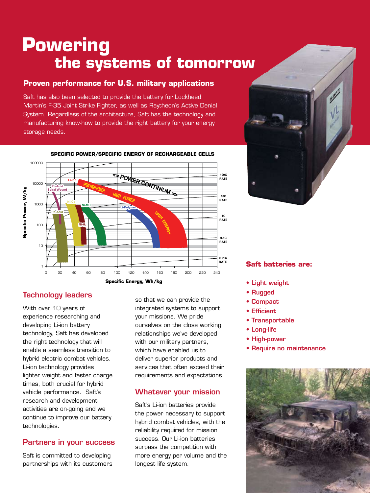# **Powering the systems of tomorrow**

### **Proven performance for U.S. military applications**

Saft has also been selected to provide the battery for Lockheed Martin's F-35 Joint Strike Fighter, as well as Raytheon's Active Denial System. Regardless of the architecture, Saft has the technology and manufacturing know-how to provide the right battery for your energy storage needs.



### **SPECIFIC POWER/SPECIFIC ENERGY OF RECHARGEABLE CELLS**

### Technology leaders

With over 10 years of experience researching and developing Li-ion battery technology, Saft has developed the right technology that will enable a seamless transition to hybrid electric combat vehicles. Li-ion technology provides lighter weight and faster charge times, both crucial for hybrid vehicle performance. Saft's research and development activities are on-going and we continue to improve our battery technologies.

### Partners in your success

Saft is committed to developing partnerships with its customers so that we can provide the integrated systems to support your missions. We pride ourselves on the close working relationships we've developed with our military partners, which have enabled us to deliver superior products and services that often exceed their requirements and expectations.

### Whatever your mission

Saft's Li-ion batteries provide the power necessary to support hybrid combat vehicles, with the reliability required for mission success. Our Li-ion batteries surpass the competition with more energy per volume and the longest life system.



#### **Saft batteries are:**

- Light weight
- Rugged
- Compact
- Efficient
- Transportable
- Long-life
- High-power
- Require no maintenance